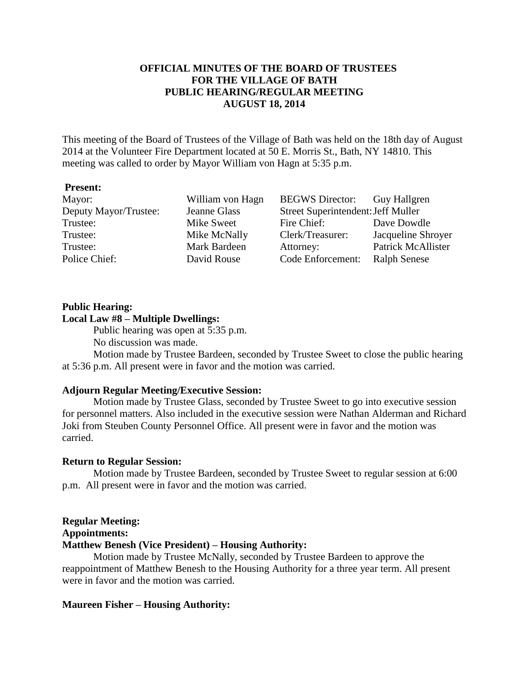# **OFFICIAL MINUTES OF THE BOARD OF TRUSTEES FOR THE VILLAGE OF BATH PUBLIC HEARING/REGULAR MEETING AUGUST 18, 2014**

This meeting of the Board of Trustees of the Village of Bath was held on the 18th day of August 2014 at the Volunteer Fire Department located at 50 E. Morris St., Bath, NY 14810. This meeting was called to order by Mayor William von Hagn at 5:35 p.m.

### **Present:**

| Mayor:                | William von Hagn | <b>BEGWS</b> Director:             | Guy Hallgren              |
|-----------------------|------------------|------------------------------------|---------------------------|
| Deputy Mayor/Trustee: | Jeanne Glass     | Street Superintendent: Jeff Muller |                           |
| Trustee:              | Mike Sweet       | Fire Chief:                        | Dave Dowdle               |
| Trustee:              | Mike McNally     | Clerk/Treasurer:                   | Jacqueline Shroyer        |
| Trustee:              | Mark Bardeen     | Attorney:                          | <b>Patrick McAllister</b> |
| Police Chief:         | David Rouse      | Code Enforcement:                  | <b>Ralph Senese</b>       |

### **Public Hearing:**

# **Local Law #8 – Multiple Dwellings:**

Public hearing was open at 5:35 p.m.

No discussion was made.

Motion made by Trustee Bardeen, seconded by Trustee Sweet to close the public hearing at 5:36 p.m. All present were in favor and the motion was carried.

### **Adjourn Regular Meeting/Executive Session:**

Motion made by Trustee Glass, seconded by Trustee Sweet to go into executive session for personnel matters. Also included in the executive session were Nathan Alderman and Richard Joki from Steuben County Personnel Office. All present were in favor and the motion was carried.

### **Return to Regular Session:**

Motion made by Trustee Bardeen, seconded by Trustee Sweet to regular session at 6:00 p.m. All present were in favor and the motion was carried.

#### **Regular Meeting:**

## **Appointments:**

# **Matthew Benesh (Vice President) – Housing Authority:**

Motion made by Trustee McNally, seconded by Trustee Bardeen to approve the reappointment of Matthew Benesh to the Housing Authority for a three year term. All present were in favor and the motion was carried.

### **Maureen Fisher – Housing Authority:**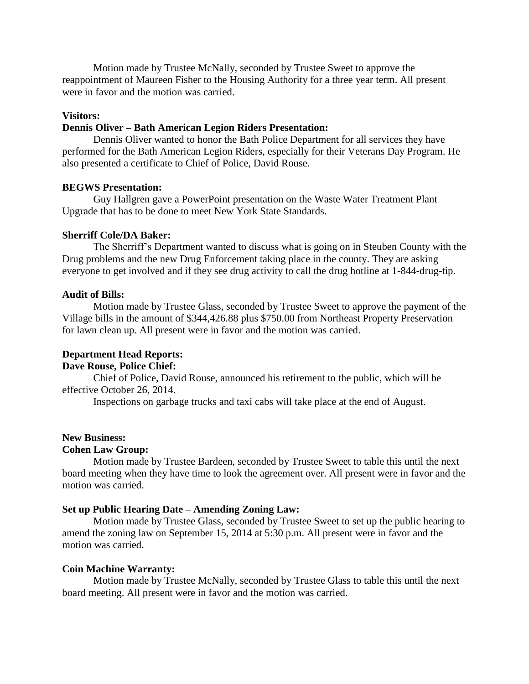Motion made by Trustee McNally, seconded by Trustee Sweet to approve the reappointment of Maureen Fisher to the Housing Authority for a three year term. All present were in favor and the motion was carried.

## **Visitors:**

## **Dennis Oliver – Bath American Legion Riders Presentation:**

Dennis Oliver wanted to honor the Bath Police Department for all services they have performed for the Bath American Legion Riders, especially for their Veterans Day Program. He also presented a certificate to Chief of Police, David Rouse.

### **BEGWS Presentation:**

Guy Hallgren gave a PowerPoint presentation on the Waste Water Treatment Plant Upgrade that has to be done to meet New York State Standards.

### **Sherriff Cole/DA Baker:**

The Sherriff's Department wanted to discuss what is going on in Steuben County with the Drug problems and the new Drug Enforcement taking place in the county. They are asking everyone to get involved and if they see drug activity to call the drug hotline at 1-844-drug-tip.

### **Audit of Bills:**

Motion made by Trustee Glass, seconded by Trustee Sweet to approve the payment of the Village bills in the amount of \$344,426.88 plus \$750.00 from Northeast Property Preservation for lawn clean up. All present were in favor and the motion was carried.

# **Department Head Reports:**

**Dave Rouse, Police Chief:**

Chief of Police, David Rouse, announced his retirement to the public, which will be effective October 26, 2014.

Inspections on garbage trucks and taxi cabs will take place at the end of August.

## **New Business:**

### **Cohen Law Group:**

Motion made by Trustee Bardeen, seconded by Trustee Sweet to table this until the next board meeting when they have time to look the agreement over. All present were in favor and the motion was carried.

### **Set up Public Hearing Date – Amending Zoning Law:**

Motion made by Trustee Glass, seconded by Trustee Sweet to set up the public hearing to amend the zoning law on September 15, 2014 at 5:30 p.m. All present were in favor and the motion was carried.

### **Coin Machine Warranty:**

Motion made by Trustee McNally, seconded by Trustee Glass to table this until the next board meeting. All present were in favor and the motion was carried.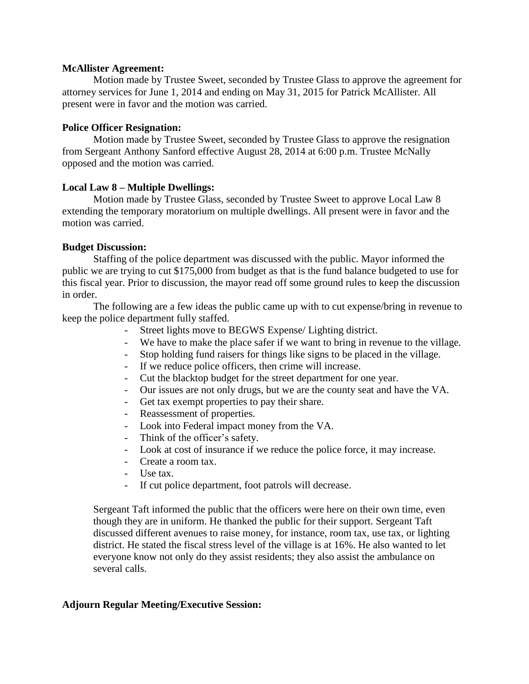# **McAllister Agreement:**

Motion made by Trustee Sweet, seconded by Trustee Glass to approve the agreement for attorney services for June 1, 2014 and ending on May 31, 2015 for Patrick McAllister. All present were in favor and the motion was carried.

# **Police Officer Resignation:**

Motion made by Trustee Sweet, seconded by Trustee Glass to approve the resignation from Sergeant Anthony Sanford effective August 28, 2014 at 6:00 p.m. Trustee McNally opposed and the motion was carried.

# **Local Law 8 – Multiple Dwellings:**

Motion made by Trustee Glass, seconded by Trustee Sweet to approve Local Law 8 extending the temporary moratorium on multiple dwellings. All present were in favor and the motion was carried.

# **Budget Discussion:**

Staffing of the police department was discussed with the public. Mayor informed the public we are trying to cut \$175,000 from budget as that is the fund balance budgeted to use for this fiscal year. Prior to discussion, the mayor read off some ground rules to keep the discussion in order.

The following are a few ideas the public came up with to cut expense/bring in revenue to keep the police department fully staffed.

- Street lights move to BEGWS Expense/ Lighting district.
- We have to make the place safer if we want to bring in revenue to the village.
- Stop holding fund raisers for things like signs to be placed in the village.
- If we reduce police officers, then crime will increase.
- Cut the blacktop budget for the street department for one year.
- Our issues are not only drugs, but we are the county seat and have the VA.
- Get tax exempt properties to pay their share.
- Reassessment of properties.
- Look into Federal impact money from the VA.
- Think of the officer's safety.
- Look at cost of insurance if we reduce the police force, it may increase.
- Create a room tax.
- Use tax.
- If cut police department, foot patrols will decrease.

Sergeant Taft informed the public that the officers were here on their own time, even though they are in uniform. He thanked the public for their support. Sergeant Taft discussed different avenues to raise money, for instance, room tax, use tax, or lighting district. He stated the fiscal stress level of the village is at 16%. He also wanted to let everyone know not only do they assist residents; they also assist the ambulance on several calls.

# **Adjourn Regular Meeting/Executive Session:**